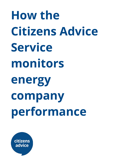**How the Citizens Advice Service monitors energy company performance**

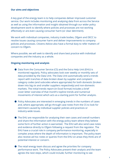### **Our aims and objectives**

A key goal of the energy team is to help companies deliver improved customer service. Our work includes monitoring and analysing data from across the Service as well as using the information and insight obtained through our wider policy development work to identify where policies and processes are not working effectively or are even causing consumer harm (or clear detriment).

We work with individual companies, industry trade bodies, Ofgem and DECC to resolve issues causing consumer harm and deliver improvements to company policies and processes. Citizens Advice also have a formal duty to refer matters of concern to Ofgem.

Where possible, we will seek to identify and share best practice with individual companies and the industry as a whole.

#### **Ongoing monitoring and analysis**

- Data from the Consumer Service (CS) and the Extra Help Unit (EHU) is monitored regularly. Policy advocates look over weekly or monthly sets of data provided by the Data Unit. The Data Unit automatically send a trends report with tranches of data broken down by supplier and complaint category codes (and subcodes where appropriate) for both domestic (broken down into big six and smaller suppliers respectively) and non-domestic markets. The initial trends report (in Excel format) includes a brief cover-letter overview of that month's topline trends and numerical movements of interest which acts as a starting point for further analysis.
- Policy Advocates are interested in emerging trends in the numbers of cases and, where appropriate, will go through case notes from the CS to look for detriment caused by individual supplier policies and practices or industry-wide issues.
- The EHU are responsible for analysing their own cases and overall numbers and share the information with the energy policy team where they believe some form of further action is warranted. The EHU will also send case notes and evidence directly to Ofgem following a request from the regulator. The EHU have a crucial role in company performance monitoring, especially in complex areas where the depth of information is important. The policy team also receive ad hoc notes or queries from the EHU on areas they think are of potential interest or concern.
- The retail energy team discuss and agree the priorities for company performance work. The Policy Advocates present their analysis and the team agrees the next steps, which could include; further monitoring to see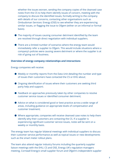whether the issues worsen, sending the company copies of the cleansed case notes from the CS to help them identify issues of concern, meeting with the company to discuss the identified issues, formally writing to the company with details of our concerns, contacting other organisations such as Ombudsman Services: Energy (OSE) to see whether they are experiencing similar issues, or flagging the issue to Ofgem (either on an informal or formal basis).

- The majority of issues causing consumer detriment identified by the team are resolved through direct negotiation with individual suppliers.
- There are a limited number of scenarios where the energy team would immediately refer a supplier to Ofgem. This would include situations where a company's policies were causing severe detriment or where the supplier is at risk of going out of business.

## **Overview of energy company relationships and interactions**

Energy companies will receive:

- Weekly or monthly reports from the Data Unit detailing the number and type of issues their customers have contacted the CS or EHU about;
- Ongoing identification of issues where their customers are seeking third party help and support;
- Feedback on approaches previously taken by other companies to resolve customer service issues or identified consumer detriment;
- Advice on what is considered good or best practice across a wide range of areas, including guidance on appropriate levels of compensation and customer treatment;
- Where appropriate, companies will receive cleansed case notes to help them identify why their customers are contacting the CS. If a supplier is experiencing significant customer service issues, notes will be sent on a weekly or monthly basis.

The energy team has regular bilateral meetings with individual suppliers to discuss their customer service performance as well as topical issues or new developments such as the smart meter rollout plans.

The team also attend regular industry forums including the quarterly supplier liaison meetings with the EHU, CS and OSE, Energy UK's regulation managers meeting, Cornwall Energy's small supplier forum and Ofgem's independent supplier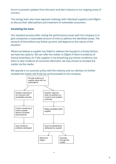forum to present updates from the team and alert industry to our ongoing areas of concern.

The energy team also have separate meetings with individual suppliers and Ofgem to discuss their debt policies and treatment of vulnerable consumers.

# **Escalating the issue**

Our standard process after raising the performance issues with the company is to give companies a reasonable amount of time to address the identified issues. The amount of time before any follow-up work, will depend on the nature of the situation.

Where we believe a supplier has failed to address the issue(s) in a timely fashion, we have two options. We can refer the matter to Ofgem if there is evidence of licence breach(es). Or if the supplier is not breaching any licence conditions, but there is clear evidence of consumer detriment, we may choose to escalate the matter via the media.

We operate a no surprises policy with the industry and our decision to further escalate the matter will firstly be communicated to the company.

 $\mathbf{r}$ 

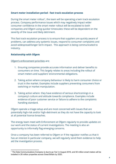# **Smart meter installation period - fast track escalation process**

During the smart meter rollout<sup>1</sup>, the team will be operating a twin track escalation process. Company performance issues which may negatively impact wider consumer confidence in the smart meter rollout will be escalated to both companies and Ofgem using quicker timescales: these will be dependent on the severity of the issue and likely detriment.

This fast track escalation process is to ensure that suppliers are quickly aware of problems, can address any systemic issues, respond to consumer complaints and avoid widespread/longer term impact. This approach is being communicated to industry.

# **Relationship with Ofgem**

### Ofgem's [enforcement](https://www.ofgem.gov.uk/sites/default/files/docs/2014/09/enforcement_guidelines_12_september_2014_published_version_1.pdf) priorities are;

- 1. Ensuring companies provide accurate information and deliver benefits to consumers on time. This largely relates to areas including the rollout of smart meters and suppliers' environmental obligations.
- 2. Taking action where company behaviour is likely to harm consumer choice or trust in the market. Examples include suppliers preventing consumers from switching or market manipulation.
- 3. Taking action where they have evidence of serious shortcomings in a company's culture and attitude towards compliance. Examples include evidence of poor customer service or failure to adhere to the complaints handling standard.

Ofgem operate a triage-setup and are most concerned with issues that are potentially high-risk and/or high-detriment as they do not have the capacity to look at all potential licence breaches.

The energy team meet with Enforcement at Ofgem regularly to provide updates on our work and the status of current investigations. The meeting is also an opportunity to informally flag emerging concerns.

Once a company has been referred to Ofgem or if the regulator notifies us that it has an interest in particular company, we will regularly send them evidence to help aid the investigation process.

<sup>1</sup> The Data Communications Company is due to go 'live' in August 2016, and 50 million smart meters will be installed in 26 million properties across Great Britain by 2020.